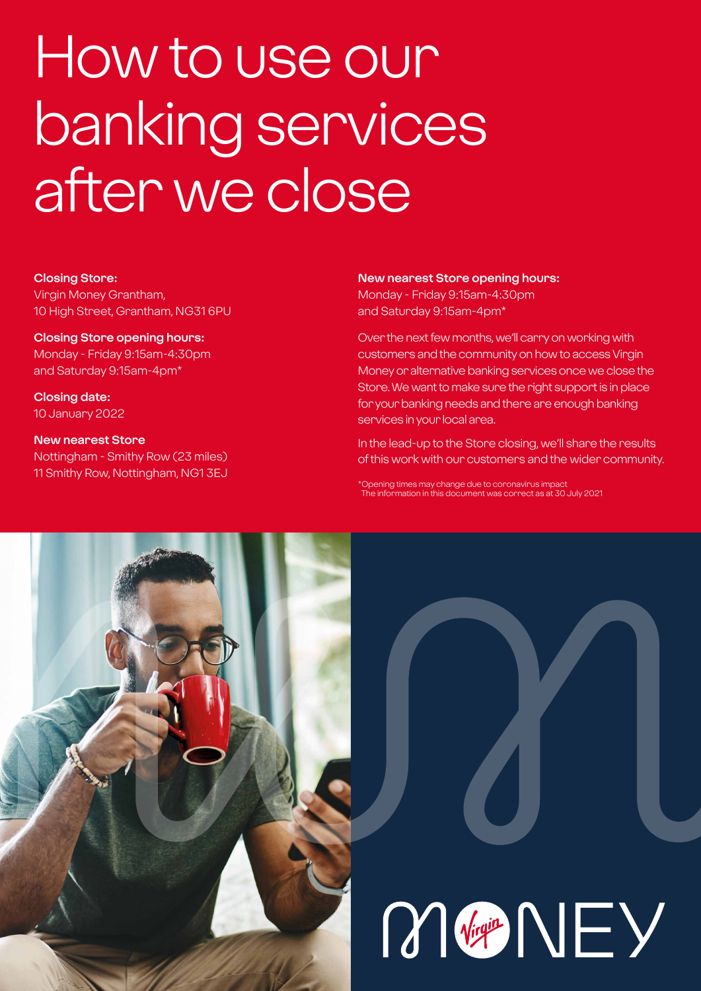# How to use our banking services after we close

#### **Closing Store:**

Virgin Money Grantham, 10 High Street, Grantham, NG31 6PU

#### **Closing Store opening hours:**

Monday - Friday 9:15am-4:30pm and Saturday 9:15am-4pm\*

**Closing date:**  10 January 2022

#### **New nearest Store** Nottingham - Smithy Row (23 miles) 11 Smithy Row, Nottingham, NG1 3EJ

#### **New nearest Store opening hours:**

Monday - Friday 9:15am-4:30pm and Saturday 9:15am-4pm\*

Over the next few months, we'll carry on working with customers and the community on how to access Virgin Money or alternative banking services once we close the Store. We want to make sure the right support is in place for your banking needs and there are enough banking services in your local area.

In the lead-up to the Store closing, we'll share the results of this work with our customers and the wider community.

\*Opening times may change due to coronavirus impact The information in this document was correct as at 30 July 2021

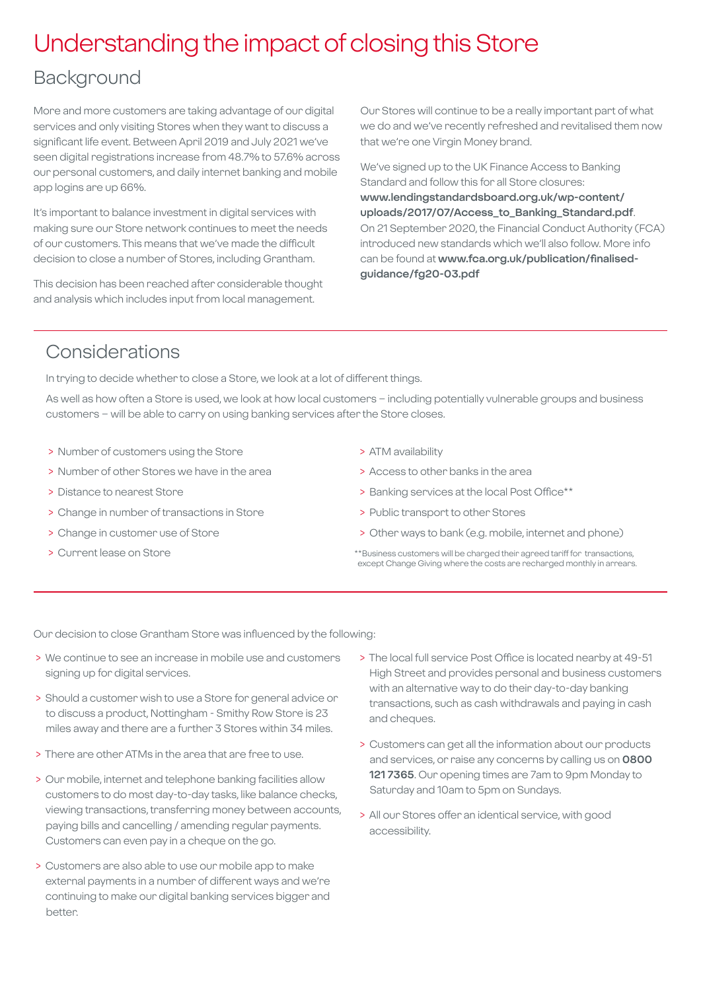## Understanding the impact of closing this Store

## Background

More and more customers are taking advantage of our digital services and only visiting Stores when they want to discuss a significant life event. Between April 2019 and July 2021 we've seen digital registrations increase from 48.7% to 57.6% across our personal customers, and daily internet banking and mobile app logins are up 66%.

It's important to balance investment in digital services with making sure our Store network continues to meet the needs of our customers. This means that we've made the difficult decision to close a number of Stores, including Grantham.

This decision has been reached after considerable thought and analysis which includes input from local management.

Our Stores will continue to be a really important part of what we do and we've recently refreshed and revitalised them now that we're one Virgin Money brand.

We've signed up to the UK Finance Access to Banking Standard and follow this for all Store closures: **[www.lendingstandardsboard.org.uk/wp-content/](http://www.lendingstandardsboard.org.uk/wp-content/uploads/2017/07/Access_to_Banking_Standard.pdf) [uploads/2017/07/Access\\_to\\_Banking\\_Standard.pdf](http://www.lendingstandardsboard.org.uk/wp-content/uploads/2017/07/Access_to_Banking_Standard.pdf)**. On 21 September 2020, the Financial Conduct Authority (FCA) introduced new standards which we'll also follow. More info can be found at **[www.fca.org.uk/publication/finalised](http://www.fca.org.uk/publication/finalised-guidance/fg20-03.pdf)[guidance/fg20-03.pdf](http://www.fca.org.uk/publication/finalised-guidance/fg20-03.pdf)**

## Considerations

In trying to decide whether to close a Store, we look at a lot of different things.

As well as how often a Store is used, we look at how local customers – including potentially vulnerable groups and business customers – will be able to carry on using banking services after the Store closes.

- > Number of customers using the Store
- > Number of other Stores we have in the area
- > Distance to nearest Store
- > Change in number of transactions in Store
- > Change in customer use of Store
- > Current lease on Store
- > ATM availability
- > Access to other banks in the area
- > Banking services at the local Post Office\*\*
- > Public transport to other Stores
- > Other ways to bank (e.g. mobile, internet and phone)
- \*\*Business customers will be charged their agreed tariff for transactions, except Change Giving where the costs are recharged monthly in arrears.

Our decision to close Grantham Store was influenced by the following:

- > We continue to see an increase in mobile use and customers signing up for digital services.
- > Should a customer wish to use a Store for general advice or to discuss a product, Nottingham - Smithy Row Store is 23 miles away and there are a further 3 Stores within 34 miles.
- > There are other ATMs in the area that are free to use.
- > Our mobile, internet and telephone banking facilities allow customers to do most day-to-day tasks, like balance checks, viewing transactions, transferring money between accounts, paying bills and cancelling / amending regular payments. Customers can even pay in a cheque on the go.
- > Customers are also able to use our mobile app to make external payments in a number of different ways and we're continuing to make our digital banking services bigger and better.
- > The local full service Post Office is located nearby at 49-51 High Street and provides personal and business customers with an alternative way to do their day-to-day banking transactions, such as cash withdrawals and paying in cash and cheques.
- > Customers can get all the information about our products and services, or raise any concerns by calling us on **0800 121 7365**. Our opening times are 7am to 9pm Monday to Saturday and 10am to 5pm on Sundays.
- > All our Stores offer an identical service, with good accessibility.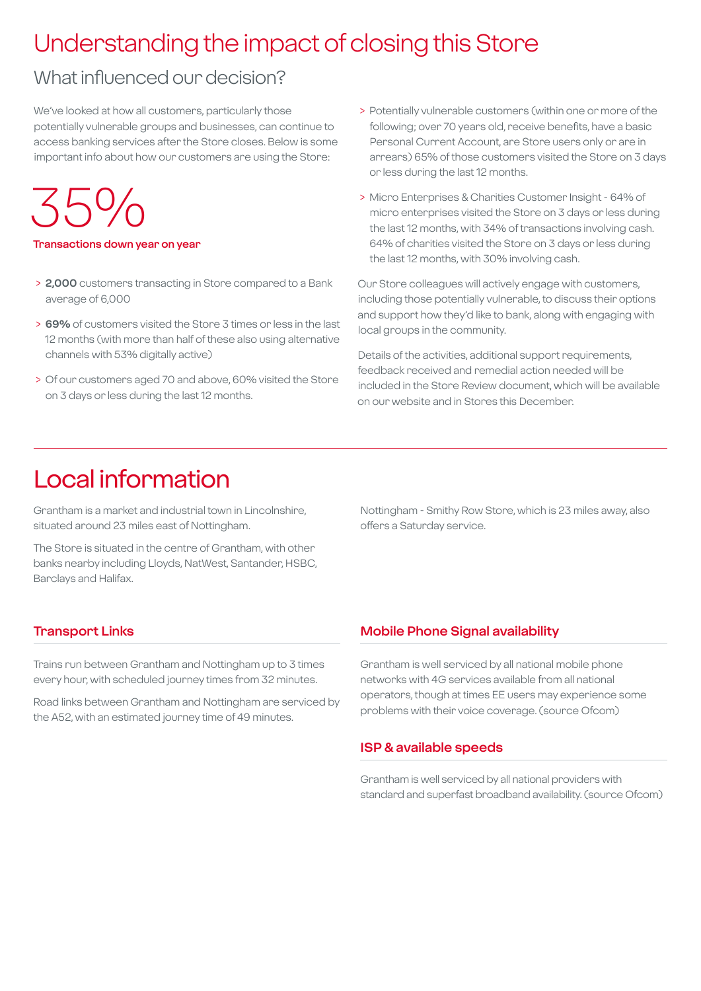## Understanding the impact of closing this Store

## What influenced our decision?

We've looked at how all customers, particularly those potentially vulnerable groups and businesses, can continue to access banking services after the Store closes. Below is some important info about how our customers are using the Store:

 $35%$ 

**Transactions down year on year**

- > **2,000** customers transacting in Store compared to a Bank average of 6,000
- > **69%** of customers visited the Store 3 times or less in the last 12 months (with more than half of these also using alternative channels with 53% digitally active)
- > Of our customers aged 70 and above, 60% visited the Store on 3 days or less during the last 12 months.
- > Potentially vulnerable customers (within one or more of the following; over 70 years old, receive benefits, have a basic Personal Current Account, are Store users only or are in arrears) 65% of those customers visited the Store on 3 days or less during the last 12 months.
- > Micro Enterprises & Charities Customer Insight 64% of micro enterprises visited the Store on 3 days or less during the last 12 months, with 34% of transactions involving cash. 64% of charities visited the Store on 3 days or less during the last 12 months, with 30% involving cash.

Our Store colleagues will actively engage with customers, including those potentially vulnerable, to discuss their options and support how they'd like to bank, along with engaging with local groups in the community.

Details of the activities, additional support requirements, feedback received and remedial action needed will be included in the Store Review document, which will be available on our website and in Stores this December.

## Local information

Grantham is a market and industrial town in Lincolnshire, situated around 23 miles east of Nottingham.

The Store is situated in the centre of Grantham, with other banks nearby including Lloyds, NatWest, Santander, HSBC, Barclays and Halifax.

Nottingham - Smithy Row Store, which is 23 miles away, also offers a Saturday service.

#### **Transport Links**

Trains run between Grantham and Nottingham up to 3 times every hour, with scheduled journey times from 32 minutes.

Road links between Grantham and Nottingham are serviced by the A52, with an estimated journey time of 49 minutes.

#### **Mobile Phone Signal availability**

Grantham is well serviced by all national mobile phone networks with 4G services available from all national operators, though at times EE users may experience some problems with their voice coverage. (source Ofcom)

#### **ISP & available speeds**

Grantham is well serviced by all national providers with standard and superfast broadband availability. (source Ofcom)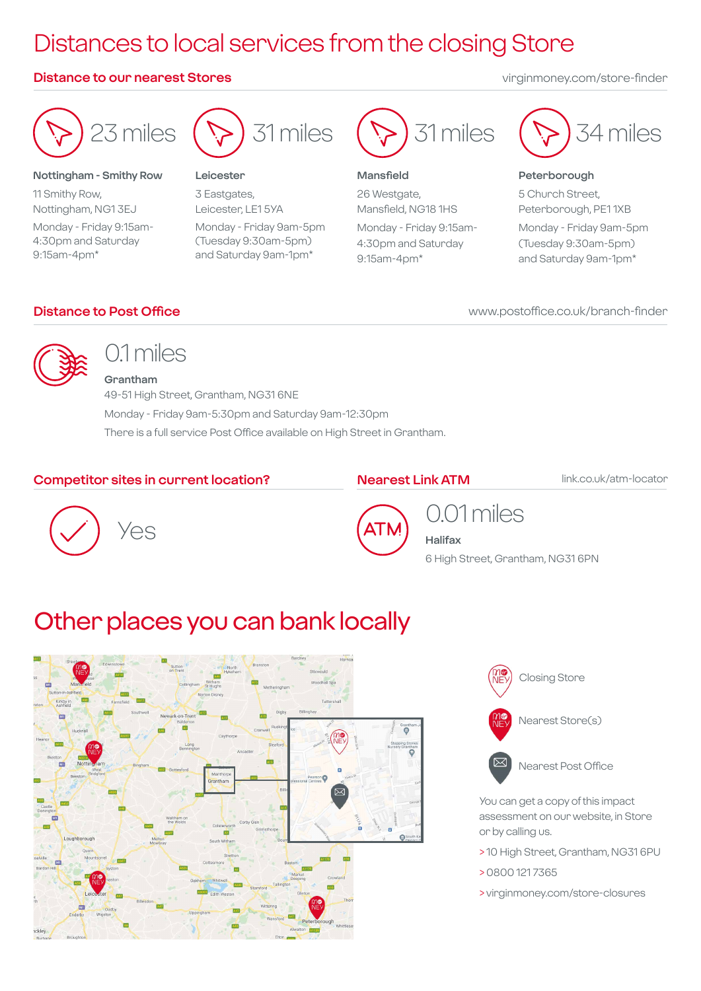## Distances to local services from the closing Store

#### **Distance to our nearest Stores** virginmoney.com/store-finder

23 miles

#### **Nottingham - Smithy Row**

11 Smithy Row, Nottingham, NG1 3EJ Monday - Friday 9:15am-4:30pm and Saturday 9:15am-4pm\*



#### **Leicester**

3 Eastgates, Leicester, LE1 5YA Monday - Friday 9am-5pm (Tuesday 9:30am-5pm) and Saturday 9am-1pm\*



#### **Mansfield**

26 Westgate, Mansfield, NG18 1HS Monday - Friday 9:15am-4:30pm and Saturday 9:15am-4pm\*



#### **Peterborough**

5 Church Street, Peterborough, PE1 1XB Monday - Friday 9am-5pm (Tuesday 9:30am-5pm) and Saturday 9am-1pm\*

#### **Distance to Post Office**

#### www.postoffice.co.uk/branch-finder



## 01 miles

**Grantham** 49-51 High Street, Grantham, NG31 6NE Monday - Friday 9am-5:30pm and Saturday 9am-12:30pm There is a full service Post Office available on High Street in Grantham.

#### **Competitor sites in current location?**

#### **Nearest Link ATM**

link.co.uk/atm-locator





## 0.01 miles

**Halifax** 6 High Street, Grantham, NG31 6PN

## Other places you can bank locally





You can get a copy of this impact assessment on our website, in Store or by calling us.

- > 10 High Street, Grantham, NG31 6PU
- > 0800 121 7365
- > virginmoney.com/store-closures